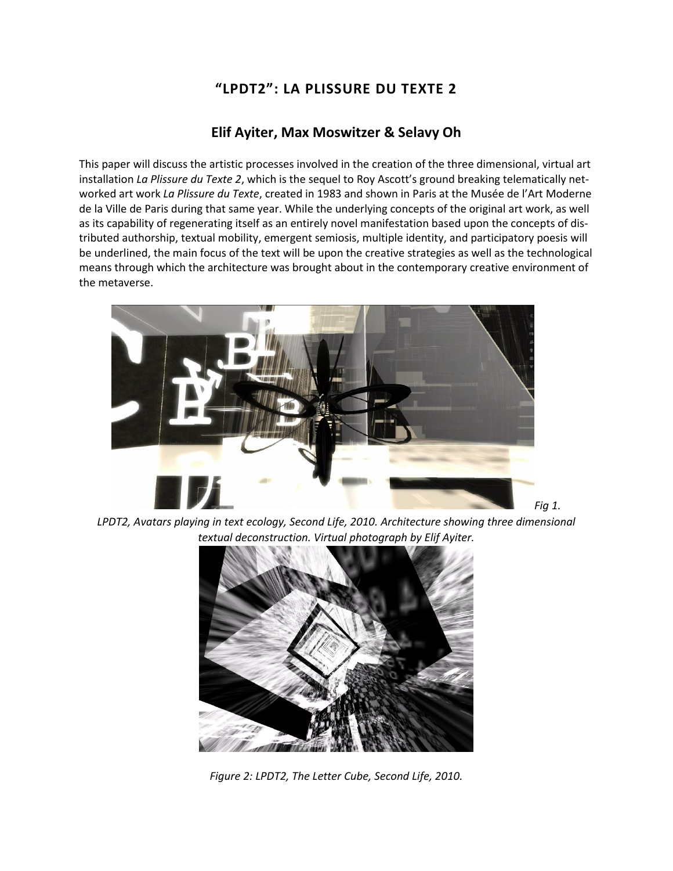# **"LPDT2": LA PLISSURE DU TEXTE 2**

## **Elif Ayiter, Max Moswitzer & Selavy Oh**

This paper will discuss the artistic processes involved in the creation of the three dimensional, virtual art installation *La Plissure du Texte 2*, which is the sequel to Roy Ascott's ground breaking telematically networked art work *La Plissure du Texte*, created in 1983 and shown in Paris at the Musée de l'Art Moderne de la Ville de Paris during that same year. While the underlying concepts of the original art work, as well as its capability of regenerating itself as an entirely novel manifestation based upon the concepts of distributed authorship, textual mobility, emergent semiosis, multiple identity, and participatory poesis will be underlined, the main focus of the text will be upon the creative strategies as well as the technological means through which the architecture was brought about in the contemporary creative environment of the metaverse.



*LPDT2, Avatars playing in text ecology, Second Life, 2010. Architecture showing three dimensional textual deconstruction. Virtual photograph by Elif Ayiter.*



*Figure 2: LPDT2, The Letter Cube, Second Life, 2010.*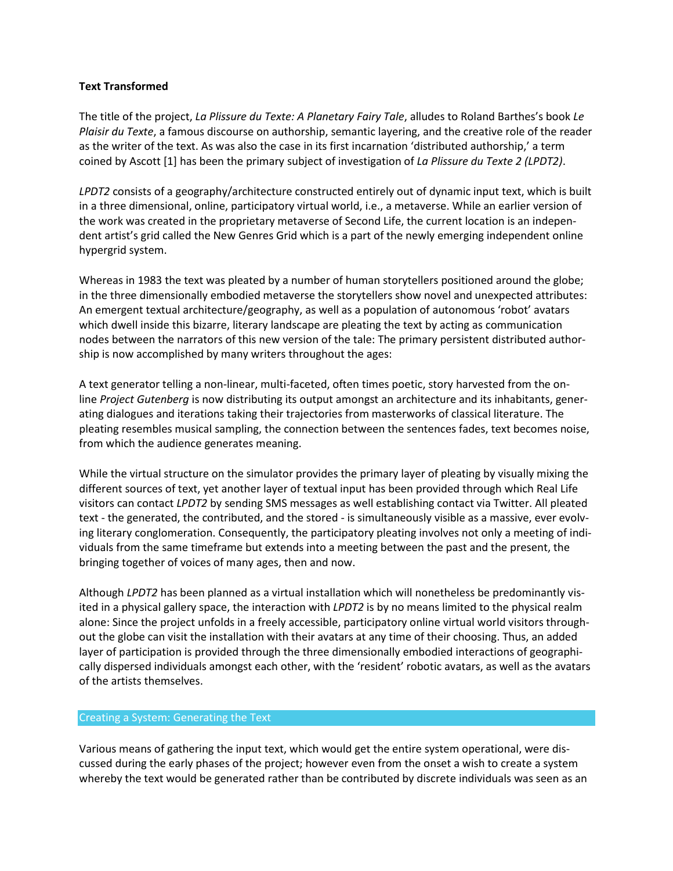### **Text Transformed**

The title of the project, *La Plissure du Texte: A Planetary Fairy Tale*, alludes to Roland Barthes's book *Le Plaisir du Texte*, a famous discourse on authorship, semantic layering, and the creative role of the reader as the writer of the text. As was also the case in its first incarnation 'distributed authorship,' a term coined by Ascott [1] has been the primary subject of investigation of *La Plissure du Texte 2 (LPDT2)*.

*LPDT2* consists of a geography/architecture constructed entirely out of dynamic input text, which is built in a three dimensional, online, participatory virtual world, i.e., a metaverse. While an earlier version of the work was created in the proprietary metaverse of Second Life, the current location is an independent artist's grid called the New Genres Grid which is a part of the newly emerging independent online hypergrid system.

Whereas in 1983 the text was pleated by a number of human storytellers positioned around the globe; in the three dimensionally embodied metaverse the storytellers show novel and unexpected attributes: An emergent textual architecture/geography, as well as a population of autonomous 'robot' avatars which dwell inside this bizarre, literary landscape are pleating the text by acting as communication nodes between the narrators of this new version of the tale: The primary persistent distributed authorship is now accomplished by many writers throughout the ages:

A text generator telling a non-linear, multi-faceted, often times poetic, story harvested from the online *Project Gutenberg* is now distributing its output amongst an architecture and its inhabitants, generating dialogues and iterations taking their trajectories from masterworks of classical literature. The pleating resembles musical sampling, the connection between the sentences fades, text becomes noise, from which the audience generates meaning.

While the virtual structure on the simulator provides the primary layer of pleating by visually mixing the different sources of text, yet another layer of textual input has been provided through which Real Life visitors can contact *LPDT2* by sending SMS messages as well establishing contact via Twitter. All pleated text - the generated, the contributed, and the stored - is simultaneously visible as a massive, ever evolving literary conglomeration. Consequently, the participatory pleating involves not only a meeting of individuals from the same timeframe but extends into a meeting between the past and the present, the bringing together of voices of many ages, then and now.

Although *LPDT2* has been planned as a virtual installation which will nonetheless be predominantly visited in a physical gallery space, the interaction with *LPDT2* is by no means limited to the physical realm alone: Since the project unfolds in a freely accessible, participatory online virtual world visitors throughout the globe can visit the installation with their avatars at any time of their choosing. Thus, an added layer of participation is provided through the three dimensionally embodied interactions of geographically dispersed individuals amongst each other, with the 'resident' robotic avatars, as well as the avatars of the artists themselves.

#### Creating a System: Generating the Text

Various means of gathering the input text, which would get the entire system operational, were discussed during the early phases of the project; however even from the onset a wish to create a system whereby the text would be generated rather than be contributed by discrete individuals was seen as an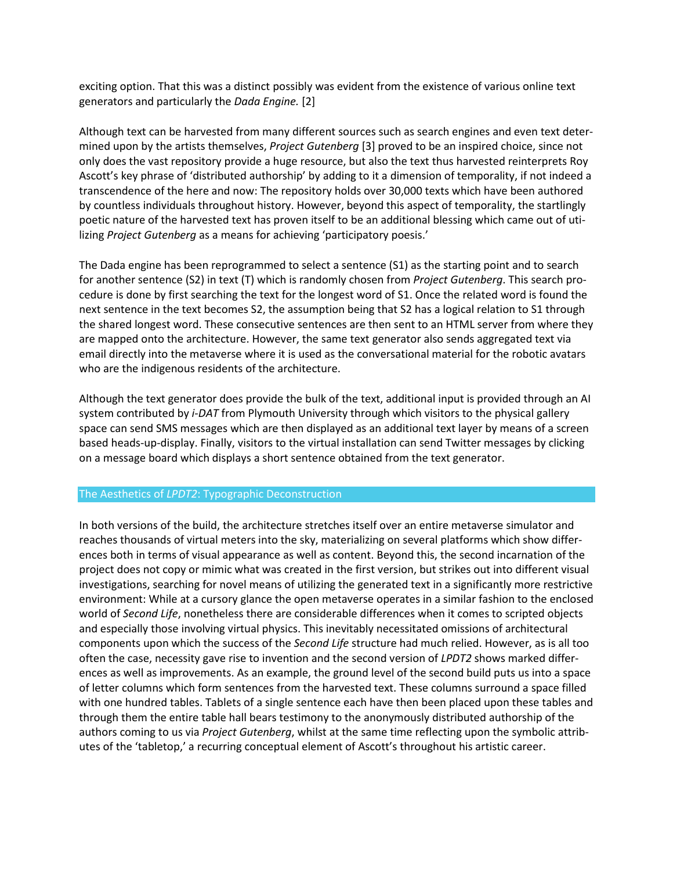exciting option. That this was a distinct possibly was evident from the existence of various online text generators and particularly the *Dada Engine.* [2]

Although text can be harvested from many different sources such as search engines and even text determined upon by the artists themselves, *Project Gutenberg* [3] proved to be an inspired choice, since not only does the vast repository provide a huge resource, but also the text thus harvested reinterprets Roy Ascott's key phrase of 'distributed authorship' by adding to it a dimension of temporality, if not indeed a transcendence of the here and now: The repository holds over 30,000 texts which have been authored by countless individuals throughout history. However, beyond this aspect of temporality, the startlingly poetic nature of the harvested text has proven itself to be an additional blessing which came out of utilizing *Project Gutenberg* as a means for achieving 'participatory poesis.'

The Dada engine has been reprogrammed to select a sentence (S1) as the starting point and to search for another sentence (S2) in text (T) which is randomly chosen from *Project Gutenberg*. This search procedure is done by first searching the text for the longest word of S1. Once the related word is found the next sentence in the text becomes S2, the assumption being that S2 has a logical relation to S1 through the shared longest word. These consecutive sentences are then sent to an HTML server from where they are mapped onto the architecture. However, the same text generator also sends aggregated text via email directly into the metaverse where it is used as the conversational material for the robotic avatars who are the indigenous residents of the architecture.

Although the text generator does provide the bulk of the text, additional input is provided through an AI system contributed by *i-DAT* from Plymouth University through which visitors to the physical gallery space can send SMS messages which are then displayed as an additional text layer by means of a screen based heads-up-display. Finally, visitors to the virtual installation can send Twitter messages by clicking on a message board which displays a short sentence obtained from the text generator.

#### The Aesthetics of *LPDT2*: Typographic Deconstruction

In both versions of the build, the architecture stretches itself over an entire metaverse simulator and reaches thousands of virtual meters into the sky, materializing on several platforms which show differences both in terms of visual appearance as well as content. Beyond this, the second incarnation of the project does not copy or mimic what was created in the first version, but strikes out into different visual investigations, searching for novel means of utilizing the generated text in a significantly more restrictive environment: While at a cursory glance the open metaverse operates in a similar fashion to the enclosed world of *Second Life*, nonetheless there are considerable differences when it comes to scripted objects and especially those involving virtual physics. This inevitably necessitated omissions of architectural components upon which the success of the *Second Life* structure had much relied. However, as is all too often the case, necessity gave rise to invention and the second version of *LPDT2* shows marked differences as well as improvements. As an example, the ground level of the second build puts us into a space of letter columns which form sentences from the harvested text. These columns surround a space filled with one hundred tables. Tablets of a single sentence each have then been placed upon these tables and through them the entire table hall bears testimony to the anonymously distributed authorship of the authors coming to us via *Project Gutenberg*, whilst at the same time reflecting upon the symbolic attributes of the 'tabletop,' a recurring conceptual element of Ascott's throughout his artistic career.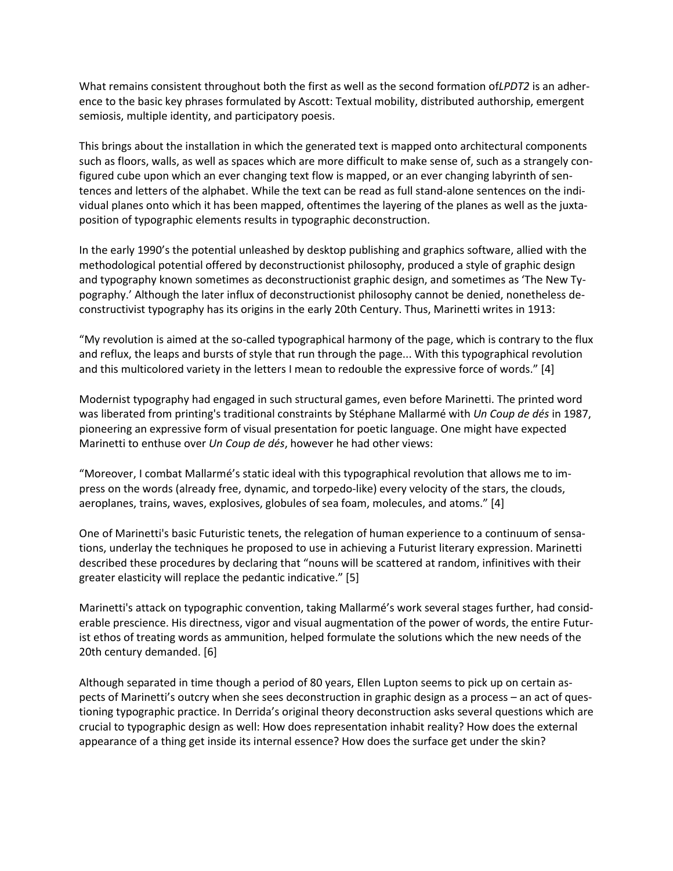What remains consistent throughout both the first as well as the second formation of*LPDT2* is an adherence to the basic key phrases formulated by Ascott: Textual mobility, distributed authorship, emergent semiosis, multiple identity, and participatory poesis.

This brings about the installation in which the generated text is mapped onto architectural components such as floors, walls, as well as spaces which are more difficult to make sense of, such as a strangely configured cube upon which an ever changing text flow is mapped, or an ever changing labyrinth of sentences and letters of the alphabet. While the text can be read as full stand-alone sentences on the individual planes onto which it has been mapped, oftentimes the layering of the planes as well as the juxtaposition of typographic elements results in typographic deconstruction.

In the early 1990's the potential unleashed by desktop publishing and graphics software, allied with the methodological potential offered by deconstructionist philosophy, produced a style of graphic design and typography known sometimes as deconstructionist graphic design, and sometimes as 'The New Typography.' Although the later influx of deconstructionist philosophy cannot be denied, nonetheless deconstructivist typography has its origins in the early 20th Century. Thus, Marinetti writes in 1913:

"My revolution is aimed at the so-called typographical harmony of the page, which is contrary to the flux and reflux, the leaps and bursts of style that run through the page... With this typographical revolution and this multicolored variety in the letters I mean to redouble the expressive force of words." [4]

Modernist typography had engaged in such structural games, even before Marinetti. The printed word was liberated from printing's traditional constraints by Stéphane Mallarmé with *Un Coup de dés* in 1987, pioneering an expressive form of visual presentation for poetic language. One might have expected Marinetti to enthuse over *Un Coup de dés*, however he had other views:

"Moreover, I combat Mallarmé's static ideal with this typographical revolution that allows me to impress on the words (already free, dynamic, and torpedo-like) every velocity of the stars, the clouds, aeroplanes, trains, waves, explosives, globules of sea foam, molecules, and atoms." [4]

One of Marinetti's basic Futuristic tenets, the relegation of human experience to a continuum of sensations, underlay the techniques he proposed to use in achieving a Futurist literary expression. Marinetti described these procedures by declaring that "nouns will be scattered at random, infinitives with their greater elasticity will replace the pedantic indicative." [5]

Marinetti's attack on typographic convention, taking Mallarmé's work several stages further, had considerable prescience. His directness, vigor and visual augmentation of the power of words, the entire Futurist ethos of treating words as ammunition, helped formulate the solutions which the new needs of the 20th century demanded. [6]

Although separated in time though a period of 80 years, Ellen Lupton seems to pick up on certain aspects of Marinetti's outcry when she sees deconstruction in graphic design as a process – an act of questioning typographic practice. In Derrida's original theory deconstruction asks several questions which are crucial to typographic design as well: How does representation inhabit reality? How does the external appearance of a thing get inside its internal essence? How does the surface get under the skin?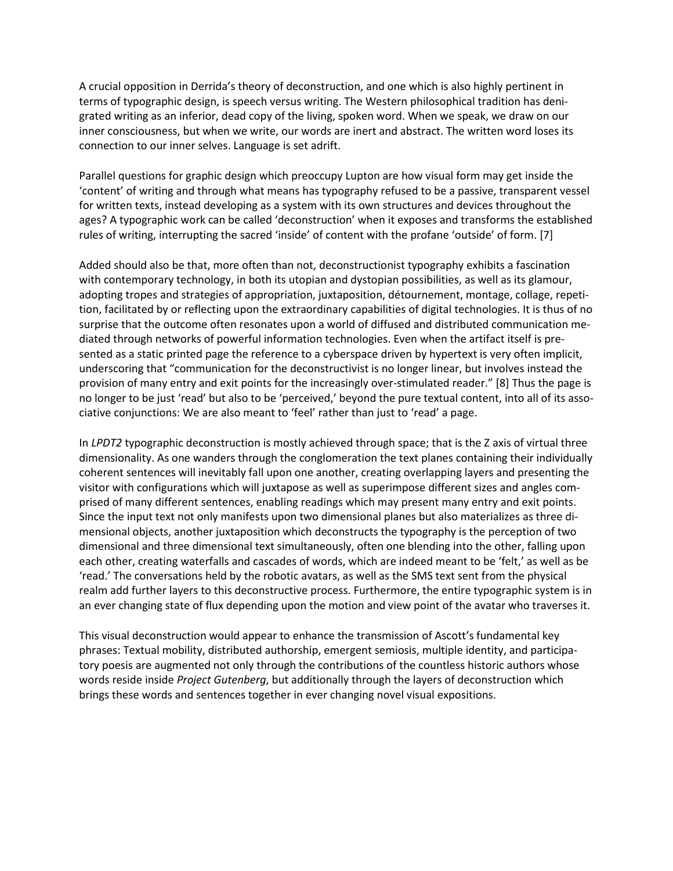A crucial opposition in Derrida's theory of deconstruction, and one which is also highly pertinent in terms of typographic design, is speech versus writing. The Western philosophical tradition has denigrated writing as an inferior, dead copy of the living, spoken word. When we speak, we draw on our inner consciousness, but when we write, our words are inert and abstract. The written word loses its connection to our inner selves. Language is set adrift.

Parallel questions for graphic design which preoccupy Lupton are how visual form may get inside the 'content' of writing and through what means has typography refused to be a passive, transparent vessel for written texts, instead developing as a system with its own structures and devices throughout the ages? A typographic work can be called 'deconstruction' when it exposes and transforms the established rules of writing, interrupting the sacred 'inside' of content with the profane 'outside' of form. [7]

Added should also be that, more often than not, deconstructionist typography exhibits a fascination with contemporary technology, in both its utopian and dystopian possibilities, as well as its glamour, adopting tropes and strategies of appropriation, juxtaposition, détournement, montage, collage, repetition, facilitated by or reflecting upon the extraordinary capabilities of digital technologies. It is thus of no surprise that the outcome often resonates upon a world of diffused and distributed communication mediated through networks of powerful information technologies. Even when the artifact itself is presented as a static printed page the reference to a cyberspace driven by hypertext is very often implicit, underscoring that "communication for the deconstructivist is no longer linear, but involves instead the provision of many entry and exit points for the increasingly over-stimulated reader." [8] Thus the page is no longer to be just 'read' but also to be 'perceived,' beyond the pure textual content, into all of its associative conjunctions: We are also meant to 'feel' rather than just to 'read' a page.

In *LPDT2* typographic deconstruction is mostly achieved through space; that is the Z axis of virtual three dimensionality. As one wanders through the conglomeration the text planes containing their individually coherent sentences will inevitably fall upon one another, creating overlapping layers and presenting the visitor with configurations which will juxtapose as well as superimpose different sizes and angles comprised of many different sentences, enabling readings which may present many entry and exit points. Since the input text not only manifests upon two dimensional planes but also materializes as three dimensional objects, another juxtaposition which deconstructs the typography is the perception of two dimensional and three dimensional text simultaneously, often one blending into the other, falling upon each other, creating waterfalls and cascades of words, which are indeed meant to be 'felt,' as well as be 'read.' The conversations held by the robotic avatars, as well as the SMS text sent from the physical realm add further layers to this deconstructive process. Furthermore, the entire typographic system is in an ever changing state of flux depending upon the motion and view point of the avatar who traverses it.

This visual deconstruction would appear to enhance the transmission of Ascott's fundamental key phrases: Textual mobility, distributed authorship, emergent semiosis, multiple identity, and participatory poesis are augmented not only through the contributions of the countless historic authors whose words reside inside *Project Gutenberg*, but additionally through the layers of deconstruction which brings these words and sentences together in ever changing novel visual expositions.